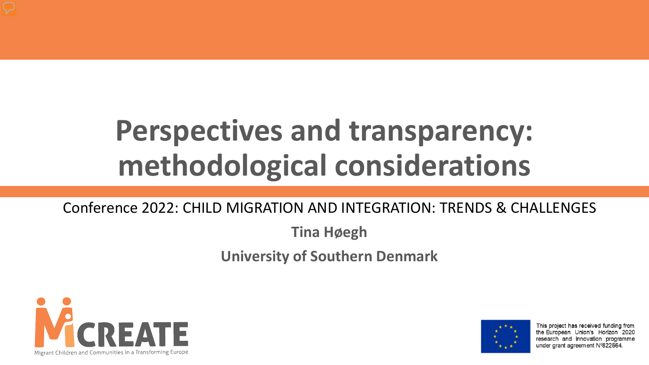# **Perspectives and transparency: methodological considerations**

#### Conference 2022: CHILD MIGRATION AND INTEGRATION: TRENDS & CHALLENGES

**Tina Høegh**

**University of Southern Denmark** 





This project has received funding from the European Union's Horizon 2020 research and innovation programme under grant agreement N°822664.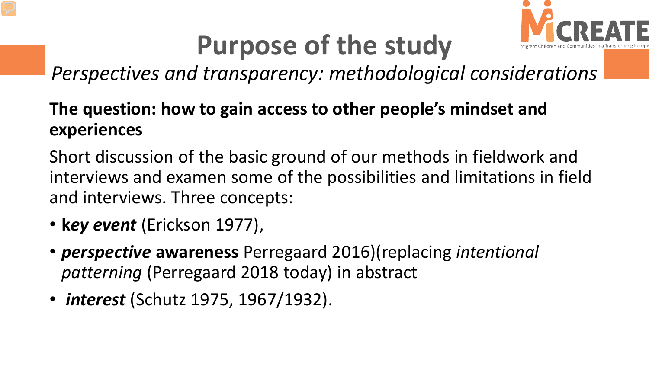

### **Purpose of the study**

*Perspectives and transparency: methodological considerations*

#### **The question: how to gain access to other people's mindset and experiences**

Short discussion of the basic ground of our methods in fieldwork and interviews and examen some of the possibilities and limitations in field and interviews. Three concepts:

- **k***ey event* (Erickson 1977),
- *perspective* **awareness** Perregaard 2016)(replacing *intentional patterning* (Perregaard 2018 today) in abstract
- *interest* (Schutz 1975, 1967/1932).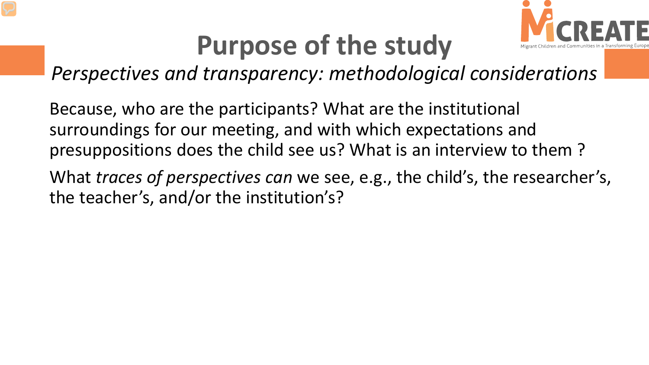

#### **Purpose of the study**

*Perspectives and transparency: methodological considerations*

Because, who are the participants? What are the institutional surroundings for our meeting, and with which expectations and presuppositions does the child see us? What is an interview to them ?

What *traces of perspectives can* we see, e.g., the child's, the researcher's, the teacher's, and/or the institution's?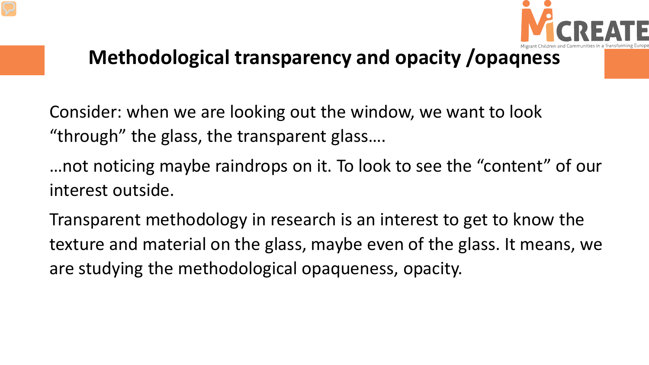

#### **Methodological transparency and opacity /opaqness**

Consider: when we are looking out the window, we want to look "through" the glass, the transparent glass….

…not noticing maybe raindrops on it. To look to see the "content" of our interest outside.

Transparent methodology in research is an interest to get to know the texture and material on the glass, maybe even of the glass. It means, we are studying the methodological opaqueness, opacity.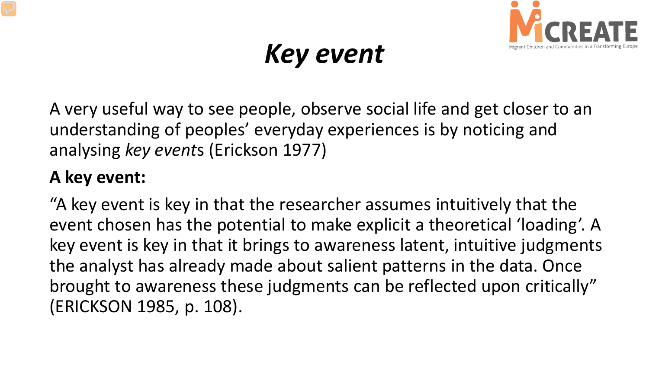

#### *Key event*

A very useful way to see people, observe social life and get closer to an understanding of peoples' everyday experiences is by noticing and analysing *key event*s (Erickson 1977)

#### **A key event:**

"A key event is key in that the researcher assumes intuitively that the event chosen has the potential to make explicit a theoretical 'loading'. A key event is key in that it brings to awareness latent, intuitive judgments the analyst has already made about salient patterns in the data. Once brought to awareness these judgments can be reflected upon critically" (ERICKSON 1985, p. 108).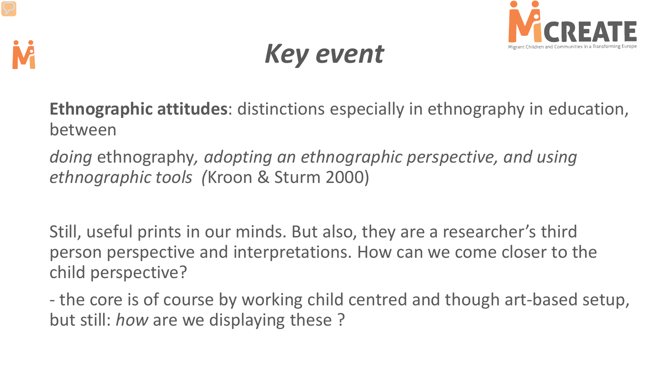



### *Key event*

**Ethnographic attitudes**: distinctions especially in ethnography in education, between

*doing* ethnography*, adopting an ethnographic perspective, and using ethnographic tools (*Kroon & Sturm 2000)

Still, useful prints in our minds. But also, they are a researcher's third person perspective and interpretations. How can we come closer to the child perspective?

- the core is of course by working child centred and though art-based setup, but still: *how* are we displaying these ?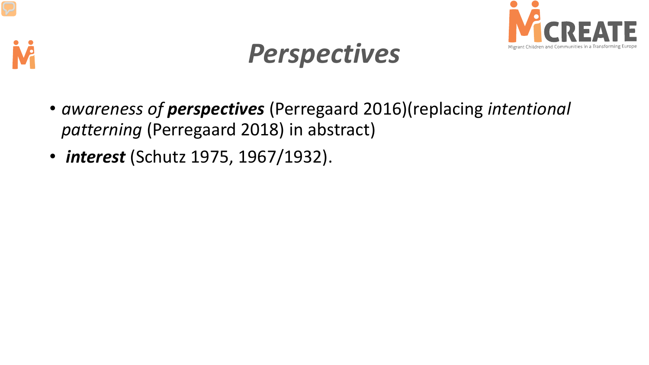



### *Perspectives*

- *awareness of perspectives* (Perregaard 2016)(replacing *intentional patterning* (Perregaard 2018) in abstract)
- *interest* (Schutz 1975, 1967/1932).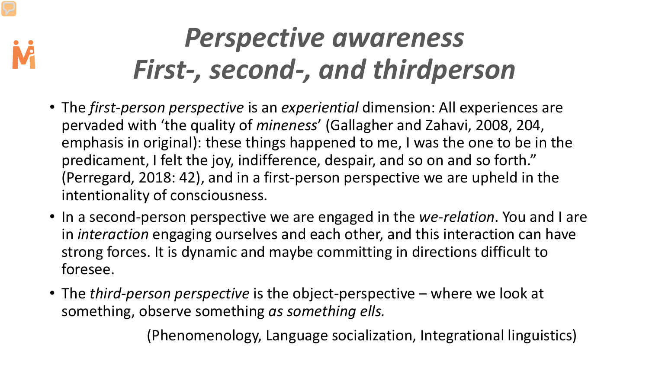#### *Perspective awareness First-, second-, and thirdperson*

- The *first-person perspective* is an *experiential* dimension: All experiences are pervaded with ʻthe quality of *mineness*' (Gallagher and Zahavi, 2008, 204, emphasis in original): these things happened to me, I was the one to be in the predicament, I felt the joy, indifference, despair, and so on and so forth." (Perregard, 2018: 42), and in a first-person perspective we are upheld in the intentionality of consciousness.
- In a second-person perspective we are engaged in the *we-relation*. You and I are in *interaction* engaging ourselves and each other, and this interaction can have strong forces. It is dynamic and maybe committing in directions difficult to foresee.
- The *third-person perspective* is the object-perspective where we look at something, observe something *as something ells.*

(Phenomenology, Language socialization, Integrational linguistics)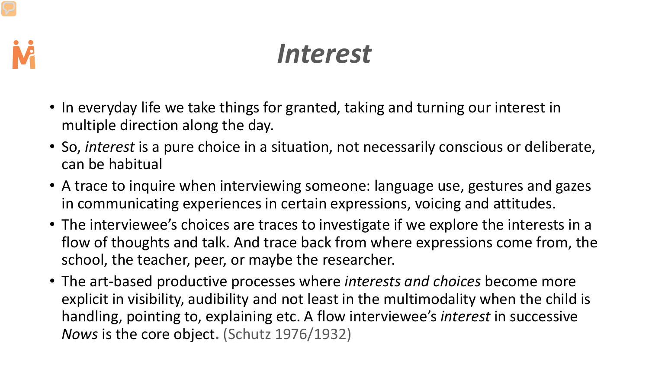

#### *Interest*

- In everyday life we take things for granted, taking and turning our interest in multiple direction along the day.
- So, *interest* is a pure choice in a situation, not necessarily conscious or deliberate, can be habitual
- A trace to inquire when interviewing someone: language use, gestures and gazes in communicating experiences in certain expressions, voicing and attitudes.
- The interviewee's choices are traces to investigate if we explore the interests in a flow of thoughts and talk. And trace back from where expressions come from, the school, the teacher, peer, or maybe the researcher.
- The art-based productive processes where *interests and choices* become more explicit in visibility, audibility and not least in the multimodality when the child is handling, pointing to, explaining etc. A flow interviewee's *interest* in successive *Nows* is the core object**.** (Schutz 1976/1932)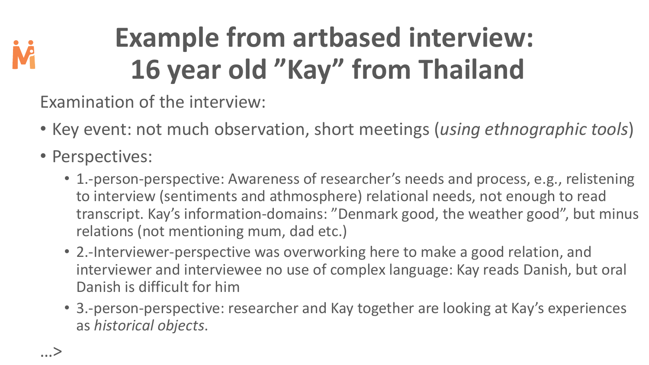

# **Example from artbased interview: 16 year old "Kay" from Thailand**

Examination of the interview:

- Key event: not much observation, short meetings (*using ethnographic tools*)
- Perspectives:
	- 1.-person-perspective: Awareness of researcher's needs and process, e.g., relistening to interview (sentiments and athmosphere) relational needs, not enough to read transcript. Kay's information-domains: "Denmark good, the weather good", but minus relations (not mentioning mum, dad etc.)
	- 2.-Interviewer-perspective was overworking here to make a good relation, and interviewer and interviewee no use of complex language: Kay reads Danish, but oral Danish is difficult for him
	- 3.-person-perspective: researcher and Kay together are looking at Kay's experiences as *historical objects*.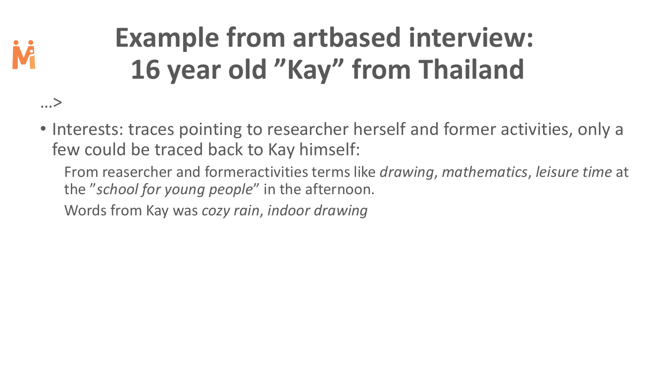

…>

# **Example from artbased interview: 16 year old "Kay" from Thailand**

- Interests: traces pointing to researcher herself and former activities, only a few could be traced back to Kay himself:
	- From reasercher and formeractivities terms like *drawing*, *mathematics*, *leisure time* at the "*school for young people*" in the afternoon.
	- Words from Kay was *cozy rain*, *indoor drawing*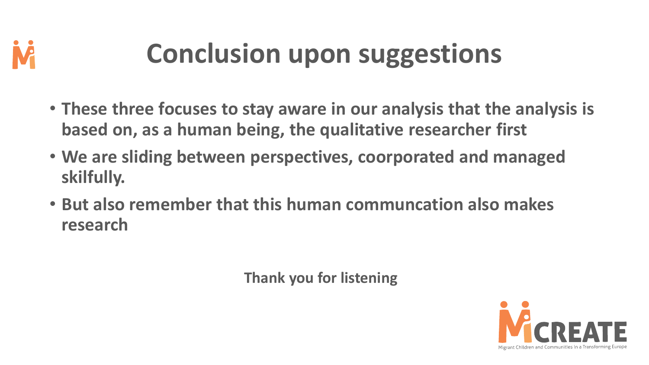

### **Conclusion upon suggestions**

- **These three focuses to stay aware in our analysis that the analysis is based on, as a human being, the qualitative researcher first**
- **We are sliding between perspectives, coorporated and managed skilfully.**
- **But also remember that this human communcation also makes research**

**Thank you for listening**

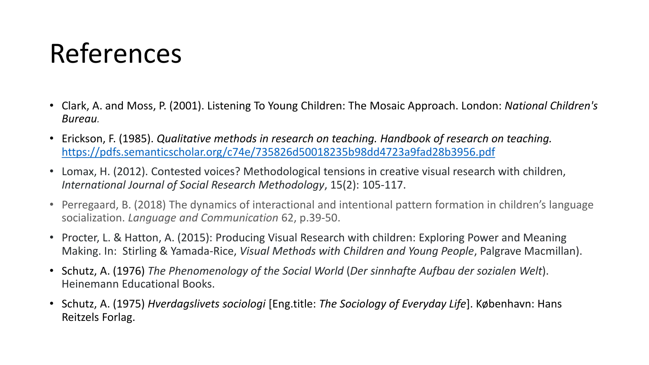#### References

- Clark, A. and Moss, P. (2001). Listening To Young Children: The Mosaic Approach. London: *National Children's Bureau.*
- Erickson, F. (1985). *Qualitative methods in research on teaching. Handbook of research on teaching.*  <https://pdfs.semanticscholar.org/c74e/735826d50018235b98dd4723a9fad28b3956.pdf>
- Lomax, H. (2012). Contested voices? Methodological tensions in creative visual research with children, *International Journal of Social Research Methodology*, 15(2): 105-117.
- Perregaard, B. (2018) The dynamics of interactional and intentional pattern formation in children's language socialization. *Language and Communication* 62, p.39-50.
- Procter, L. & Hatton, A. (2015): Producing Visual Research with children: Exploring Power and Meaning Making. In: Stirling & Yamada-Rice, *Visual Methods with Children and Young People*, Palgrave Macmillan).
- Schutz, A. (1976) *The Phenomenology of the Social World* (*Der sinnhafte Aufbau der sozialen Welt*). Heinemann Educational Books.
- Schutz, A. (1975) *Hverdagslivets sociologi* [Eng.title: *The Sociology of Everyday Life*]. København: Hans Reitzels Forlag.